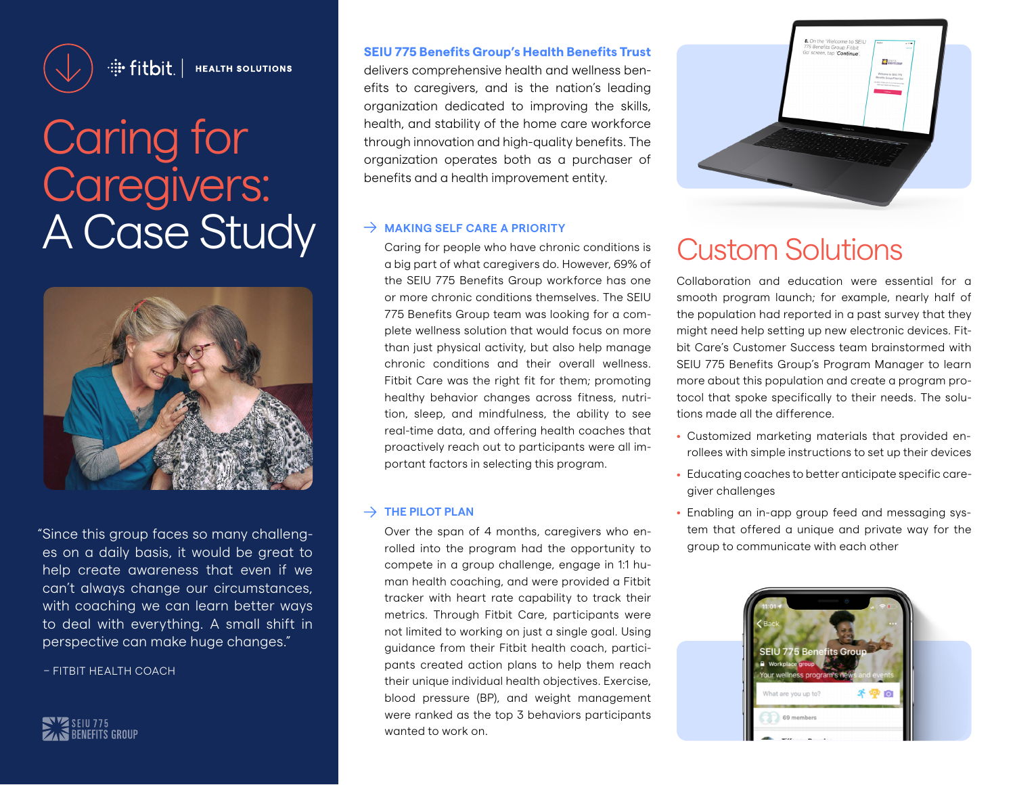

: Fitbit. | HEALTH SOLUTIONS

# Caring for Caregivers: A Case Study <sup>> MAKING SELF CARE A PRIORITY</sup> Carring for people who have chronic conditions is Custom Solutions



"Since this group faces so many challenges on a daily basis, it would be great to help create awareness that even if we can't always change our circumstances, with coaching we can learn better ways to deal with everything. A small shift in perspective can make huge changes."

– FITBIT HEALTH COACH

SEIU 775<br>Senefits Group

#### **SEIU 775 Benefits Group's Health Benefits Trust**

delivers comprehensive health and wellness benefits to caregivers, and is the nation's leading organization dedicated to improving the skills, health, and stability of the home care workforce through innovation and high-quality benefits. The organization operates both as a purchaser of benefits and a health improvement entity.

#### $\rightarrow$  MAKING SELF CARE A PRIORITY

Caring for people who have chronic conditions is a big part of what caregivers do. However, 69% of the SEIU 775 Benefits Group workforce has one or more chronic conditions themselves. The SEIU 775 Benefits Group team was looking for a complete wellness solution that would focus on more than just physical activity, but also help manage chronic conditions and their overall wellness. Fitbit Care was the right fit for them; promoting healthy behavior changes across fitness, nutrition, sleep, and mindfulness, the ability to see real-time data, and offering health coaches that proactively reach out to participants were all important factors in selecting this program.

#### $\rightarrow$  THE PILOT PLAN

Over the span of 4 months, caregivers who enrolled into the program had the opportunity to compete in a group challenge, engage in 1:1 human health coaching, and were provided a Fitbit tracker with heart rate capability to track their metrics. Through Fitbit Care, participants were not limited to working on just a single goal. Using guidance from their Fitbit health coach, participants created action plans to help them reach their unique individual health objectives. Exercise, blood pressure (BP), and weight management were ranked as the top 3 behaviors participants wanted to work on.



Collaboration and education were essential for a smooth program launch; for example, nearly half of the population had reported in a past survey that they might need help setting up new electronic devices. Fitbit Care's Customer Success team brainstormed with SEIU 775 Benefits Group's Program Manager to learn more about this population and create a program protocol that spoke specifically to their needs. The solutions made all the difference.

- Customized marketing materials that provided enrollees with simple instructions to set up their devices
- Educating coaches to better anticipate specific caregiver challenges
- Enabling an in-app group feed and messaging system that offered a unique and private way for the group to communicate with each other